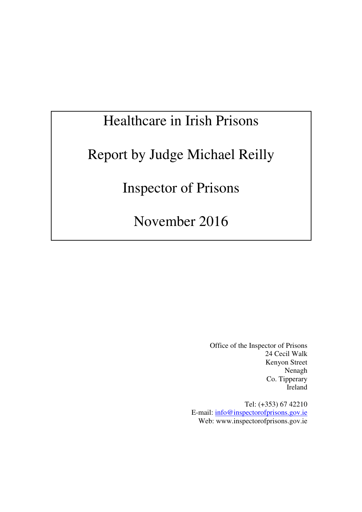# Healthcare in Irish Prisons

# Report by Judge Michael Reilly

Inspector of Prisons

November 2016

 Office of the Inspector of Prisons 24 Cecil Walk Kenyon Street Nenagh Co. Tipperary Ireland

Tel: (+353) 67 42210 E-mail: info@inspectorofprisons.gov.ie Web: www.inspectorofprisons.gov.ie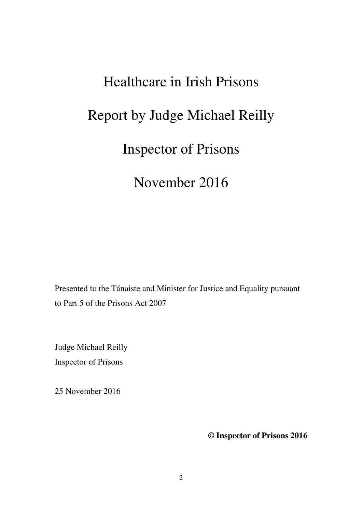# Healthcare in Irish Prisons Report by Judge Michael Reilly Inspector of Prisons

November 2016

Presented to the Tánaiste and Minister for Justice and Equality pursuant to Part 5 of the Prisons Act 2007

Judge Michael Reilly Inspector of Prisons

25 November 2016

**© Inspector of Prisons 2016**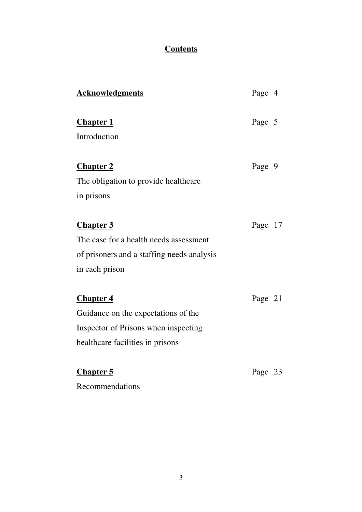### **Contents**

| <b>Acknowledgments</b>                     | Page 4  |
|--------------------------------------------|---------|
| <b>Chapter 1</b>                           | Page 5  |
| Introduction                               |         |
| <b>Chapter 2</b>                           | Page 9  |
| The obligation to provide healthcare       |         |
| in prisons                                 |         |
| <b>Chapter 3</b>                           | Page 17 |
| The case for a health needs assessment     |         |
| of prisoners and a staffing needs analysis |         |
| in each prison                             |         |
| <b>Chapter 4</b>                           | Page 21 |
| Guidance on the expectations of the        |         |
| Inspector of Prisons when inspecting       |         |
| healthcare facilities in prisons           |         |
| <b>Chapter 5</b>                           | Page 23 |
| Recommendations                            |         |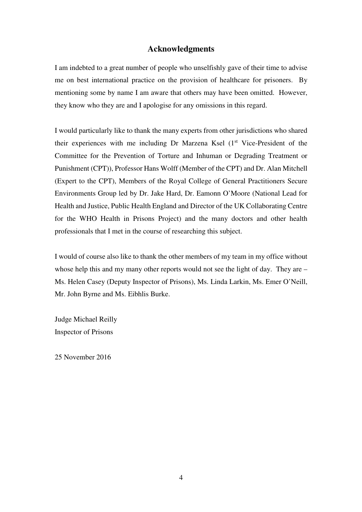#### **Acknowledgments**

I am indebted to a great number of people who unselfishly gave of their time to advise me on best international practice on the provision of healthcare for prisoners. By mentioning some by name I am aware that others may have been omitted. However, they know who they are and I apologise for any omissions in this regard.

I would particularly like to thank the many experts from other jurisdictions who shared their experiences with me including Dr Marzena Ksel  $(1<sup>st</sup> Vice-President of the$ Committee for the Prevention of Torture and Inhuman or Degrading Treatment or Punishment (CPT)), Professor Hans Wolff (Member of the CPT) and Dr. Alan Mitchell (Expert to the CPT), Members of the Royal College of General Practitioners Secure Environments Group led by Dr. Jake Hard, Dr. Eamonn O'Moore (National Lead for Health and Justice, Public Health England and Director of the UK Collaborating Centre for the WHO Health in Prisons Project) and the many doctors and other health professionals that I met in the course of researching this subject.

I would of course also like to thank the other members of my team in my office without whose help this and my many other reports would not see the light of day. They are – Ms. Helen Casey (Deputy Inspector of Prisons), Ms. Linda Larkin, Ms. Emer O'Neill, Mr. John Byrne and Ms. Eibhlis Burke.

Judge Michael Reilly Inspector of Prisons

25 November 2016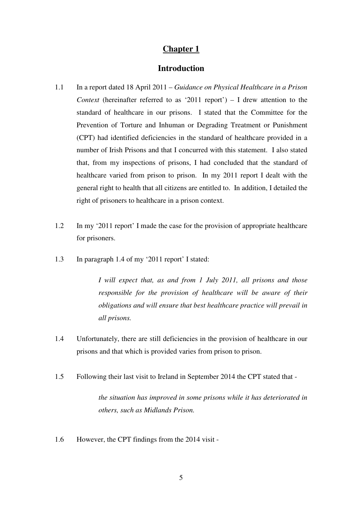#### **Introduction**

- 1.1 In a report dated 18 April 2011 *Guidance on Physical Healthcare in a Prison Context* (hereinafter referred to as '2011 report') *–* I drew attention to the standard of healthcare in our prisons. I stated that the Committee for the Prevention of Torture and Inhuman or Degrading Treatment or Punishment (CPT) had identified deficiencies in the standard of healthcare provided in a number of Irish Prisons and that I concurred with this statement. I also stated that, from my inspections of prisons, I had concluded that the standard of healthcare varied from prison to prison. In my 2011 report I dealt with the general right to health that all citizens are entitled to. In addition, I detailed the right of prisoners to healthcare in a prison context.
- 1.2 In my '2011 report' I made the case for the provision of appropriate healthcare for prisoners.
- 1.3 In paragraph 1.4 of my '2011 report' I stated:

*I will expect that, as and from 1 July 2011, all prisons and those responsible for the provision of healthcare will be aware of their obligations and will ensure that best healthcare practice will prevail in all prisons.* 

- 1.4 Unfortunately, there are still deficiencies in the provision of healthcare in our prisons and that which is provided varies from prison to prison.
- 1.5 Following their last visit to Ireland in September 2014 the CPT stated that -

*the situation has improved in some prisons while it has deteriorated in others, such as Midlands Prison.* 

1.6 However, the CPT findings from the 2014 visit -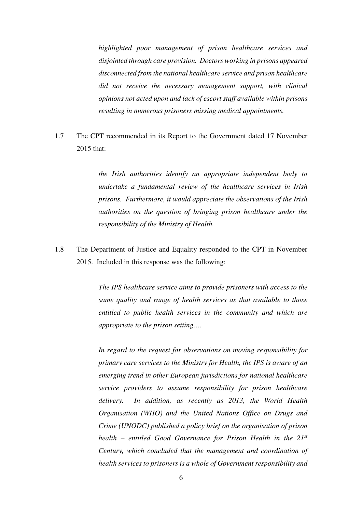*highlighted poor management of prison healthcare services and disjointed through care provision. Doctors working in prisons appeared disconnected from the national healthcare service and prison healthcare did not receive the necessary management support, with clinical opinions not acted upon and lack of escort staff available within prisons resulting in numerous prisoners missing medical appointments.* 

1.7 The CPT recommended in its Report to the Government dated 17 November 2015 that:

> *the Irish authorities identify an appropriate independent body to undertake a fundamental review of the healthcare services in Irish prisons. Furthermore, it would appreciate the observations of the Irish authorities on the question of bringing prison healthcare under the responsibility of the Ministry of Health.*

1.8 The Department of Justice and Equality responded to the CPT in November 2015. Included in this response was the following:

> *The IPS healthcare service aims to provide prisoners with access to the same quality and range of health services as that available to those entitled to public health services in the community and which are appropriate to the prison setting….*

> *In regard to the request for observations on moving responsibility for primary care services to the Ministry for Health, the IPS is aware of an emerging trend in other European jurisdictions for national healthcare service providers to assume responsibility for prison healthcare delivery. In addition, as recently as 2013, the World Health Organisation (WHO) and the United Nations Office on Drugs and Crime (UNODC) published a policy brief on the organisation of prison health – entitled Good Governance for Prison Health in the 21st Century, which concluded that the management and coordination of health services to prisoners is a whole of Government responsibility and*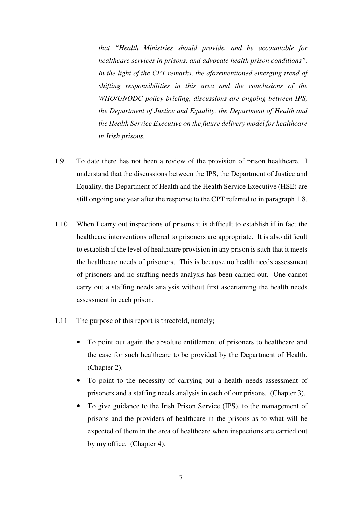*that "Health Ministries should provide, and be accountable for healthcare services in prisons, and advocate health prison conditions". In the light of the CPT remarks, the aforementioned emerging trend of shifting responsibilities in this area and the conclusions of the WHO/UNODC policy briefing, discussions are ongoing between IPS, the Department of Justice and Equality, the Department of Health and the Health Service Executive on the future delivery model for healthcare in Irish prisons.* 

- 1.9 To date there has not been a review of the provision of prison healthcare. I understand that the discussions between the IPS, the Department of Justice and Equality, the Department of Health and the Health Service Executive (HSE) are still ongoing one year after the response to the CPT referred to in paragraph 1.8.
- 1.10 When I carry out inspections of prisons it is difficult to establish if in fact the healthcare interventions offered to prisoners are appropriate. It is also difficult to establish if the level of healthcare provision in any prison is such that it meets the healthcare needs of prisoners. This is because no health needs assessment of prisoners and no staffing needs analysis has been carried out. One cannot carry out a staffing needs analysis without first ascertaining the health needs assessment in each prison.
- 1.11 The purpose of this report is threefold, namely;
	- To point out again the absolute entitlement of prisoners to healthcare and the case for such healthcare to be provided by the Department of Health. (Chapter 2).
	- To point to the necessity of carrying out a health needs assessment of prisoners and a staffing needs analysis in each of our prisons. (Chapter 3).
	- To give guidance to the Irish Prison Service (IPS), to the management of prisons and the providers of healthcare in the prisons as to what will be expected of them in the area of healthcare when inspections are carried out by my office. (Chapter 4).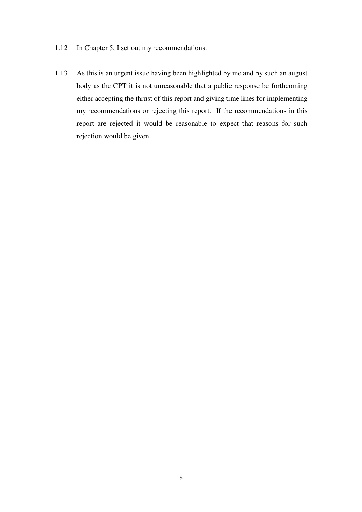- 1.12 In Chapter 5, I set out my recommendations.
- 1.13 As this is an urgent issue having been highlighted by me and by such an august body as the CPT it is not unreasonable that a public response be forthcoming either accepting the thrust of this report and giving time lines for implementing my recommendations or rejecting this report. If the recommendations in this report are rejected it would be reasonable to expect that reasons for such rejection would be given.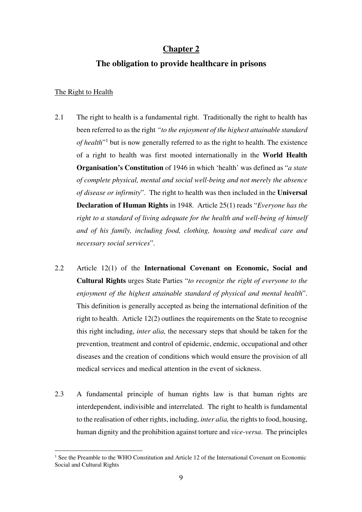#### **The obligation to provide healthcare in prisons**

#### The Right to Health

- 2.1 The right to health is a fundamental right. Traditionally the right to health has been referred to as the right *"to the enjoyment of the highest attainable standard*  of health<sup>"1</sup> but is now generally referred to as the right to health. The existence of a right to health was first mooted internationally in the **World Health Organisation's Constitution** of 1946 in which 'health' was defined as "*a state of complete physical, mental and social well-being and not merely the absence of disease or infirmity*". The right to health was then included in the **Universal Declaration of Human Rights** in 1948. Article 25(1) reads "*Everyone has the right to a standard of living adequate for the health and well-being of himself and of his family, including food, clothing, housing and medical care and necessary social services*".
- 2.2 Article 12(1) of the **International Covenant on Economic, Social and Cultural Rights** urges State Parties "*to recognize the right of everyone to the enjoyment of the highest attainable standard of physical and mental health*". This definition is generally accepted as being the international definition of the right to health. Article 12(2) outlines the requirements on the State to recognise this right including, *inter alia,* the necessary steps that should be taken for the prevention, treatment and control of epidemic, endemic, occupational and other diseases and the creation of conditions which would ensure the provision of all medical services and medical attention in the event of sickness.
- 2.3 A fundamental principle of human rights law is that human rights are interdependent, indivisible and interrelated. The right to health is fundamental to the realisation of other rights, including, *inter alia,* the rights to food, housing, human dignity and the prohibition against torture and *vice-versa*. The principles

 $\overline{a}$ <sup>1</sup> See the Preamble to the WHO Constitution and Article 12 of the International Covenant on Economic Social and Cultural Rights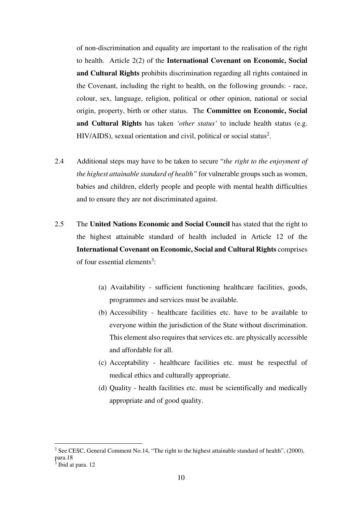of non-discrimination and equality are important to the realisation of the right to health. Article 2(2) of the **International Covenant on Economic, Social and Cultural Rights** prohibits discrimination regarding all rights contained in the Covenant, including the right to health, on the following grounds: - race, colour, sex, language, religion, political or other opinion, national or social origin, property, birth or other status. The **Committee on Economic, Social and Cultural Rights** has taken *'other status'* to include health status (e.g.  $HIV/ALDS$ ), sexual orientation and civil, political or social status<sup>2</sup>.

- 2.4 Additional steps may have to be taken to secure "*the right to the enjoyment of the highest attainable standard of health"* for vulnerable groups such as women, babies and children, elderly people and people with mental health difficulties and to ensure they are not discriminated against.
- 2.5 The **United Nations Economic and Social Council** has stated that the right to the highest attainable standard of health included in Article 12 of the **International Covenant on Economic, Social and Cultural Rights** comprises of four essential elements<sup>3</sup>:
	- (a) Availability sufficient functioning healthcare facilities, goods, programmes and services must be available.
	- (b) Accessibility healthcare facilities etc. have to be available to everyone within the jurisdiction of the State without discrimination. This element also requires that services etc. are physically accessible and affordable for all.
	- (c) Acceptability healthcare facilities etc. must be respectful of medical ethics and culturally appropriate.
	- (d) Quality health facilities etc. must be scientifically and medically appropriate and of good quality.

<sup>&</sup>lt;sup>2</sup> See CESC, General Comment No.14, "The right to the highest attainable standard of health", (2000), para.18

<sup>&</sup>lt;sup>3</sup> Ibid at para. 12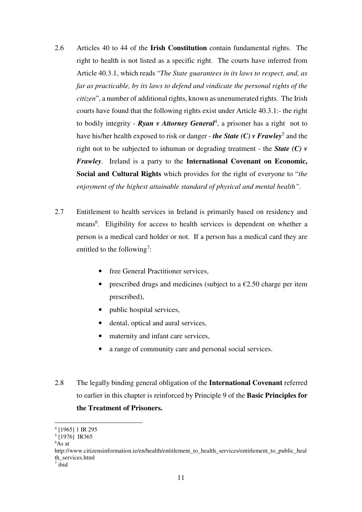- 2.6 Articles 40 to 44 of the **Irish Constitution** contain fundamental rights. The right to health is not listed as a specific right. The courts have inferred from Article 40.3.1, which reads "*The State guarantees in its laws to respect, and, as far as practicable, by its laws to defend and vindicate the personal rights of the citizen*", a number of additional rights, known as unenumerated rights. The Irish courts have found that the following rights exist under Article 40.3.1:- the right to bodily integrity - *Ryan v Attorney General*<sup>4</sup> , a prisoner has a right not to have his/her health exposed to risk or danger - *the State (C) v Frawley*<sup>5</sup> and the right not to be subjected to inhuman or degrading treatment - the *State (C) v Frawley*. Ireland is a party to the **International Covenant on Economic, Social and Cultural Rights** which provides for the right of everyone to "*the enjoyment of the highest attainable standard of physical and mental health".*
- 2.7 Entitlement to health services in Ireland is primarily based on residency and means<sup>6</sup>. Eligibility for access to health services is dependent on whether a person is a medical card holder or not. If a person has a medical card they are entitled to the following<sup>7</sup>:
	- free General Practitioner services.
	- prescribed drugs and medicines (subject to a  $\epsilon$ 2.50 charge per item prescribed),
	- public hospital services,
	- dental, optical and aural services.
	- maternity and infant care services.
	- a range of community care and personal social services.
- 2.8 The legally binding general obligation of the **International Covenant** referred to earlier in this chapter is reinforced by Principle 9 of the **Basic Principles for the Treatment of Prisoners.**

<sup>4</sup> [1965] 1 IR 295

<sup>5</sup> [1976] IR365

 $6As$  at

http://www.citizensinformation.ie/en/health/entitlement\_to\_health\_services/entitlement\_to\_public\_heal th\_services.html

<sup>7</sup> ibid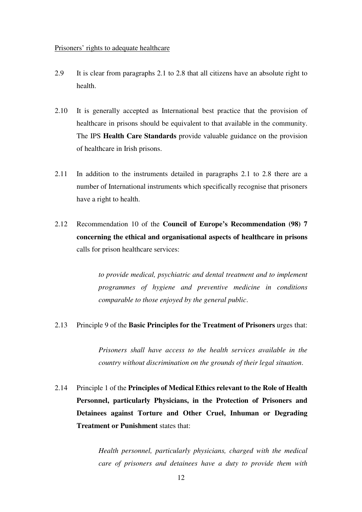#### Prisoners' rights to adequate healthcare

- 2.9 It is clear from paragraphs 2.1 to 2.8 that all citizens have an absolute right to health.
- 2.10 It is generally accepted as International best practice that the provision of healthcare in prisons should be equivalent to that available in the community. The IPS **Health Care Standards** provide valuable guidance on the provision of healthcare in Irish prisons.
- 2.11 In addition to the instruments detailed in paragraphs 2.1 to 2.8 there are a number of International instruments which specifically recognise that prisoners have a right to health.
- 2.12 Recommendation 10 of the **Council of Europe's Recommendation (98) 7 concerning the ethical and organisational aspects of healthcare in prisons** calls for prison healthcare services:

*to provide medical, psychiatric and dental treatment and to implement programmes of hygiene and preventive medicine in conditions comparable to those enjoyed by the general public*.

2.13 Principle 9 of the **Basic Principles for the Treatment of Prisoners** urges that:

*Prisoners shall have access to the health services available in the country without discrimination on the grounds of their legal situation*.

2.14 Principle 1 of the **Principles of Medical Ethics relevant to the Role of Health Personnel, particularly Physicians, in the Protection of Prisoners and Detainees against Torture and Other Cruel, Inhuman or Degrading Treatment or Punishment** states that:

> *Health personnel, particularly physicians, charged with the medical care of prisoners and detainees have a duty to provide them with*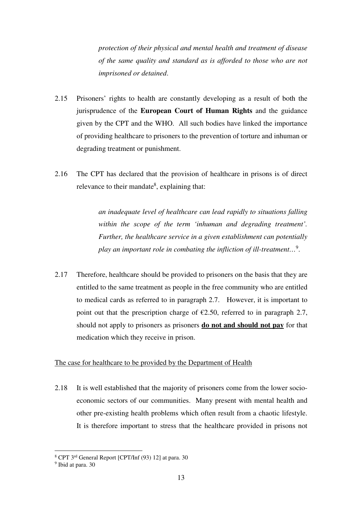*protection of their physical and mental health and treatment of disease of the same quality and standard as is afforded to those who are not imprisoned or detained*.

- 2.15 Prisoners' rights to health are constantly developing as a result of both the jurisprudence of the **European Court of Human Rights** and the guidance given by the CPT and the WHO. All such bodies have linked the importance of providing healthcare to prisoners to the prevention of torture and inhuman or degrading treatment or punishment.
- 2.16 The CPT has declared that the provision of healthcare in prisons is of direct relevance to their mandate<sup>8</sup>, explaining that:

*an inadequate level of healthcare can lead rapidly to situations falling within the scope of the term 'inhuman and degrading treatment'. Further, the healthcare service in a given establishment can potentially play an important role in combating the infliction of ill-treatment…*<sup>9</sup> .

2.17 Therefore, healthcare should be provided to prisoners on the basis that they are entitled to the same treatment as people in the free community who are entitled to medical cards as referred to in paragraph 2.7. However, it is important to point out that the prescription charge of  $\epsilon$ 2.50, referred to in paragraph 2.7, should not apply to prisoners as prisoners **do not and should not pay** for that medication which they receive in prison.

#### The case for healthcare to be provided by the Department of Health

2.18 It is well established that the majority of prisoners come from the lower socioeconomic sectors of our communities. Many present with mental health and other pre-existing health problems which often result from a chaotic lifestyle. It is therefore important to stress that the healthcare provided in prisons not

<sup>&</sup>lt;sup>8</sup> CPT 3<sup>rd</sup> General Report [CPT/Inf (93) 12] at para. 30

<sup>9</sup> Ibid at para. 30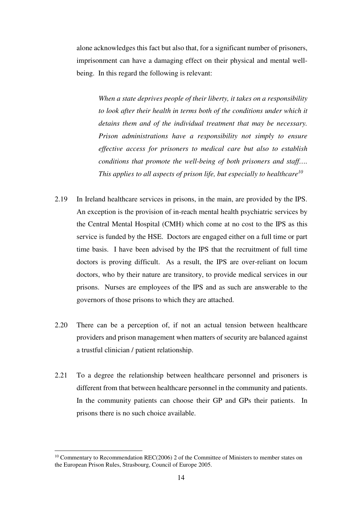alone acknowledges this fact but also that, for a significant number of prisoners, imprisonment can have a damaging effect on their physical and mental wellbeing. In this regard the following is relevant:

*When a state deprives people of their liberty, it takes on a responsibility to look after their health in terms both of the conditions under which it detains them and of the individual treatment that may be necessary. Prison administrations have a responsibility not simply to ensure effective access for prisoners to medical care but also to establish conditions that promote the well-being of both prisoners and staff…. This applies to all aspects of prison life, but especially to healthcare<sup>10</sup>*

- 2.19 In Ireland healthcare services in prisons, in the main, are provided by the IPS. An exception is the provision of in-reach mental health psychiatric services by the Central Mental Hospital (CMH) which come at no cost to the IPS as this service is funded by the HSE. Doctors are engaged either on a full time or part time basis. I have been advised by the IPS that the recruitment of full time doctors is proving difficult. As a result, the IPS are over-reliant on locum doctors, who by their nature are transitory, to provide medical services in our prisons. Nurses are employees of the IPS and as such are answerable to the governors of those prisons to which they are attached.
- 2.20 There can be a perception of, if not an actual tension between healthcare providers and prison management when matters of security are balanced against a trustful clinician / patient relationship.
- 2.21 To a degree the relationship between healthcare personnel and prisoners is different from that between healthcare personnel in the community and patients. In the community patients can choose their GP and GPs their patients. In prisons there is no such choice available.

<sup>&</sup>lt;sup>10</sup> Commentary to Recommendation REC(2006) 2 of the Committee of Ministers to member states on the European Prison Rules, Strasbourg, Council of Europe 2005.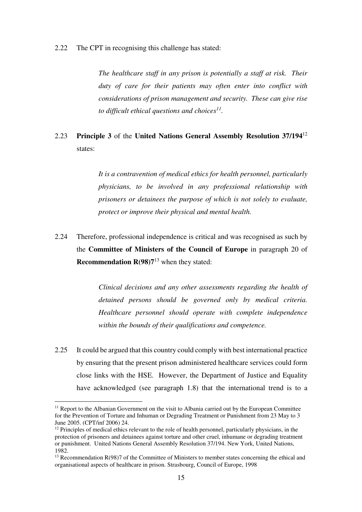2.22 The CPT in recognising this challenge has stated:

*The healthcare staff in any prison is potentially a staff at risk. Their duty of care for their patients may often enter into conflict with considerations of prison management and security. These can give rise to difficult ethical questions and choices<sup>11</sup> .* 

## 2.23 **Principle 3** of the **United Nations General Assembly Resolution 37/194**<sup>12</sup> states:

*It is a contravention of medical ethics for health personnel, particularly physicians, to be involved in any professional relationship with prisoners or detainees the purpose of which is not solely to evaluate, protect or improve their physical and mental health.* 

2.24 Therefore, professional independence is critical and was recognised as such by the **Committee of Ministers of the Council of Europe** in paragraph 20 of **Recommendation R(98)7**<sup>13</sup> when they stated:

> *Clinical decisions and any other assessments regarding the health of detained persons should be governed only by medical criteria. Healthcare personnel should operate with complete independence within the bounds of their qualifications and competence.*

2.25 It could be argued that this country could comply with best international practice by ensuring that the present prison administered healthcare services could form close links with the HSE. However, the Department of Justice and Equality have acknowledged (see paragraph 1.8) that the international trend is to a

 $<sup>11</sup>$  Report to the Albanian Government on the visit to Albania carried out by the European Committee</sup> for the Prevention of Torture and Inhuman or Degrading Treatment or Punishment from 23 May to 3 June 2005. (CPT/inf 2006) 24.

 $12$  Principles of medical ethics relevant to the role of health personnel, particularly physicians, in the protection of prisoners and detainees against torture and other cruel, inhumane or degrading treatment or punishment. United Nations General Assembly Resolution 37/194. New York, United Nations, 1982.

 $13$  Recommendation R(98)7 of the Committee of Ministers to member states concerning the ethical and organisational aspects of healthcare in prison. Strasbourg, Council of Europe, 1998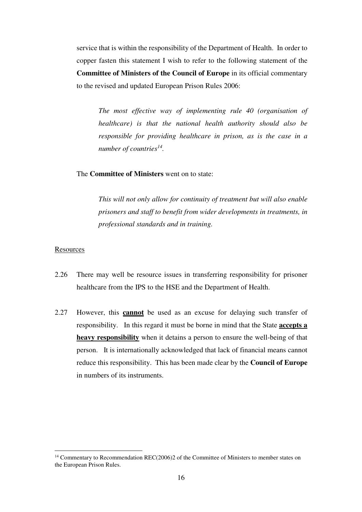service that is within the responsibility of the Department of Health. In order to copper fasten this statement I wish to refer to the following statement of the **Committee of Ministers of the Council of Europe** in its official commentary to the revised and updated European Prison Rules 2006:

*The most effective way of implementing rule 40 (organisation of healthcare) is that the national health authority should also be responsible for providing healthcare in prison, as is the case in a number of countries<sup>14</sup> .*

The **Committee of Ministers** went on to state:

*This will not only allow for continuity of treatment but will also enable prisoners and staff to benefit from wider developments in treatments, in professional standards and in training.* 

#### **Resources**

- 2.26 There may well be resource issues in transferring responsibility for prisoner healthcare from the IPS to the HSE and the Department of Health.
- 2.27 However, this **cannot** be used as an excuse for delaying such transfer of responsibility. In this regard it must be borne in mind that the State **accepts a heavy responsibility** when it detains a person to ensure the well-being of that person. It is internationally acknowledged that lack of financial means cannot reduce this responsibility. This has been made clear by the **Council of Europe** in numbers of its instruments.

 $14$  Commentary to Recommendation REC(2006)2 of the Committee of Ministers to member states on the European Prison Rules.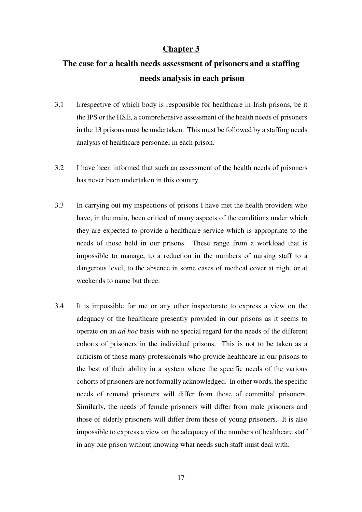# **The case for a health needs assessment of prisoners and a staffing needs analysis in each prison**

- 3.1 Irrespective of which body is responsible for healthcare in Irish prisons, be it the IPS or the HSE, a comprehensive assessment of the health needs of prisoners in the 13 prisons must be undertaken. This must be followed by a staffing needs analysis of healthcare personnel in each prison.
- 3.2 I have been informed that such an assessment of the health needs of prisoners has never been undertaken in this country.
- 3.3 In carrying out my inspections of prisons I have met the health providers who have, in the main, been critical of many aspects of the conditions under which they are expected to provide a healthcare service which is appropriate to the needs of those held in our prisons. These range from a workload that is impossible to manage, to a reduction in the numbers of nursing staff to a dangerous level, to the absence in some cases of medical cover at night or at weekends to name but three.
- 3.4 It is impossible for me or any other inspectorate to express a view on the adequacy of the healthcare presently provided in our prisons as it seems to operate on an *ad hoc* basis with no special regard for the needs of the different cohorts of prisoners in the individual prisons. This is not to be taken as a criticism of those many professionals who provide healthcare in our prisons to the best of their ability in a system where the specific needs of the various cohorts of prisoners are not formally acknowledged.In other words, the specific needs of remand prisoners will differ from those of committal prisoners. Similarly, the needs of female prisoners will differ from male prisoners and those of elderly prisoners will differ from those of young prisoners. It is also impossible to express a view on the adequacy of the numbers of healthcare staff in any one prison without knowing what needs such staff must deal with.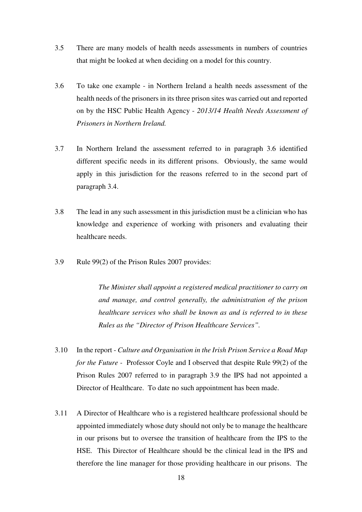- 3.5 There are many models of health needs assessments in numbers of countries that might be looked at when deciding on a model for this country.
- 3.6 To take one example in Northern Ireland a health needs assessment of the health needs of the prisoners in its three prison sites was carried out and reported on by the HSC Public Health Agency - *2013/14 Health Needs Assessment of Prisoners in Northern Ireland.*
- 3.7 In Northern Ireland the assessment referred to in paragraph 3.6 identified different specific needs in its different prisons. Obviously, the same would apply in this jurisdiction for the reasons referred to in the second part of paragraph 3.4.
- 3.8 The lead in any such assessment in this jurisdiction must be a clinician who has knowledge and experience of working with prisoners and evaluating their healthcare needs.
- 3.9 Rule 99(2) of the Prison Rules 2007 provides:

*The Minister shall appoint a registered medical practitioner to carry on and manage, and control generally, the administration of the prison healthcare services who shall be known as and is referred to in these Rules as the "Director of Prison Healthcare Services".* 

- 3.10 In the report *Culture and Organisation in the Irish Prison Service a Road Map for the Future -* Professor Coyle and I observed that despite Rule 99(2) of the Prison Rules 2007 referred to in paragraph 3.9 the IPS had not appointed a Director of Healthcare. To date no such appointment has been made.
- 3.11 A Director of Healthcare who is a registered healthcare professional should be appointed immediately whose duty should not only be to manage the healthcare in our prisons but to oversee the transition of healthcare from the IPS to the HSE. This Director of Healthcare should be the clinical lead in the IPS and therefore the line manager for those providing healthcare in our prisons. The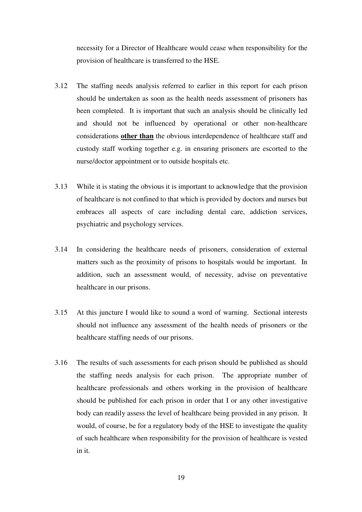necessity for a Director of Healthcare would cease when responsibility for the provision of healthcare is transferred to the HSE.

- 3.12 The staffing needs analysis referred to earlier in this report for each prison should be undertaken as soon as the health needs assessment of prisoners has been completed. It is important that such an analysis should be clinically led and should not be influenced by operational or other non-healthcare considerations **other than** the obvious interdependence of healthcare staff and custody staff working together e.g. in ensuring prisoners are escorted to the nurse/doctor appointment or to outside hospitals etc.
- 3.13 While it is stating the obvious it is important to acknowledge that the provision of healthcare is not confined to that which is provided by doctors and nurses but embraces all aspects of care including dental care, addiction services, psychiatric and psychology services.
- 3.14 In considering the healthcare needs of prisoners, consideration of external matters such as the proximity of prisons to hospitals would be important. In addition, such an assessment would, of necessity, advise on preventative healthcare in our prisons.
- 3.15 At this juncture I would like to sound a word of warning. Sectional interests should not influence any assessment of the health needs of prisoners or the healthcare staffing needs of our prisons.
- 3.16 The results of such assessments for each prison should be published as should the staffing needs analysis for each prison. The appropriate number of healthcare professionals and others working in the provision of healthcare should be published for each prison in order that I or any other investigative body can readily assess the level of healthcare being provided in any prison. It would, of course, be for a regulatory body of the HSE to investigate the quality of such healthcare when responsibility for the provision of healthcare is vested in it.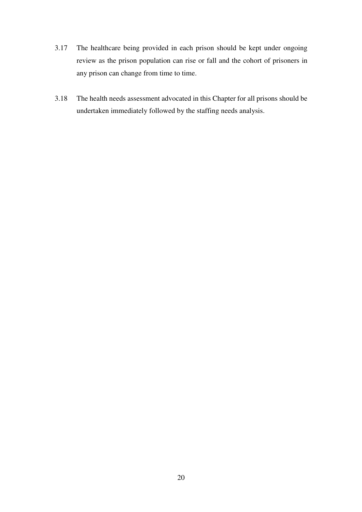- 3.17 The healthcare being provided in each prison should be kept under ongoing review as the prison population can rise or fall and the cohort of prisoners in any prison can change from time to time.
- 3.18 The health needs assessment advocated in this Chapter for all prisons should be undertaken immediately followed by the staffing needs analysis.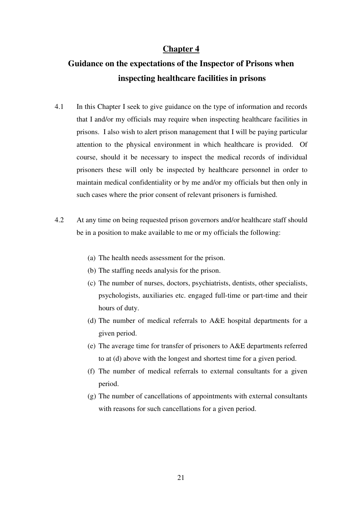# **Guidance on the expectations of the Inspector of Prisons when inspecting healthcare facilities in prisons**

- 4.1 In this Chapter I seek to give guidance on the type of information and records that I and/or my officials may require when inspecting healthcare facilities in prisons. I also wish to alert prison management that I will be paying particular attention to the physical environment in which healthcare is provided. Of course, should it be necessary to inspect the medical records of individual prisoners these will only be inspected by healthcare personnel in order to maintain medical confidentiality or by me and/or my officials but then only in such cases where the prior consent of relevant prisoners is furnished.
- 4.2 At any time on being requested prison governors and/or healthcare staff should be in a position to make available to me or my officials the following:
	- (a) The health needs assessment for the prison.
	- (b) The staffing needs analysis for the prison.
	- (c) The number of nurses, doctors, psychiatrists, dentists, other specialists, psychologists, auxiliaries etc. engaged full-time or part-time and their hours of duty.
	- (d) The number of medical referrals to A&E hospital departments for a given period.
	- (e) The average time for transfer of prisoners to A&E departments referred to at (d) above with the longest and shortest time for a given period.
	- (f) The number of medical referrals to external consultants for a given period.
	- (g) The number of cancellations of appointments with external consultants with reasons for such cancellations for a given period.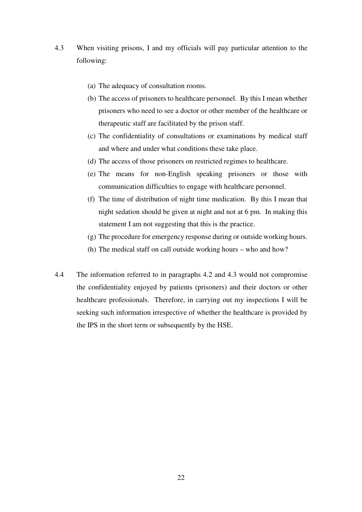- 4.3 When visiting prisons, I and my officials will pay particular attention to the following:
	- (a) The adequacy of consultation rooms.
	- (b) The access of prisoners to healthcare personnel. By this I mean whether prisoners who need to see a doctor or other member of the healthcare or therapeutic staff are facilitated by the prison staff.
	- (c) The confidentiality of consultations or examinations by medical staff and where and under what conditions these take place.
	- (d) The access of those prisoners on restricted regimes to healthcare.
	- (e) The means for non-English speaking prisoners or those with communication difficulties to engage with healthcare personnel.
	- (f) The time of distribution of night time medication. By this I mean that night sedation should be given at night and not at 6 pm. In making this statement I am not suggesting that this is the practice.
	- (g) The procedure for emergency response during or outside working hours.
	- (h) The medical staff on call outside working hours who and how?
- 4.4 The information referred to in paragraphs 4.2 and 4.3 would not compromise the confidentiality enjoyed by patients (prisoners) and their doctors or other healthcare professionals. Therefore, in carrying out my inspections I will be seeking such information irrespective of whether the healthcare is provided by the IPS in the short term or subsequently by the HSE.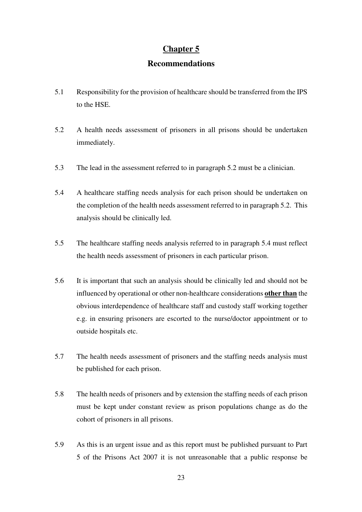#### **Recommendations**

- 5.1 Responsibility for the provision of healthcare should be transferred from the IPS to the HSE.
- 5.2 A health needs assessment of prisoners in all prisons should be undertaken immediately.
- 5.3 The lead in the assessment referred to in paragraph 5.2 must be a clinician.
- 5.4 A healthcare staffing needs analysis for each prison should be undertaken on the completion of the health needs assessment referred to in paragraph 5.2. This analysis should be clinically led.
- 5.5 The healthcare staffing needs analysis referred to in paragraph 5.4 must reflect the health needs assessment of prisoners in each particular prison.
- 5.6 It is important that such an analysis should be clinically led and should not be influenced by operational or other non-healthcare considerations **other than** the obvious interdependence of healthcare staff and custody staff working together e.g. in ensuring prisoners are escorted to the nurse/doctor appointment or to outside hospitals etc.
- 5.7 The health needs assessment of prisoners and the staffing needs analysis must be published for each prison.
- 5.8 The health needs of prisoners and by extension the staffing needs of each prison must be kept under constant review as prison populations change as do the cohort of prisoners in all prisons.
- 5.9 As this is an urgent issue and as this report must be published pursuant to Part 5 of the Prisons Act 2007 it is not unreasonable that a public response be